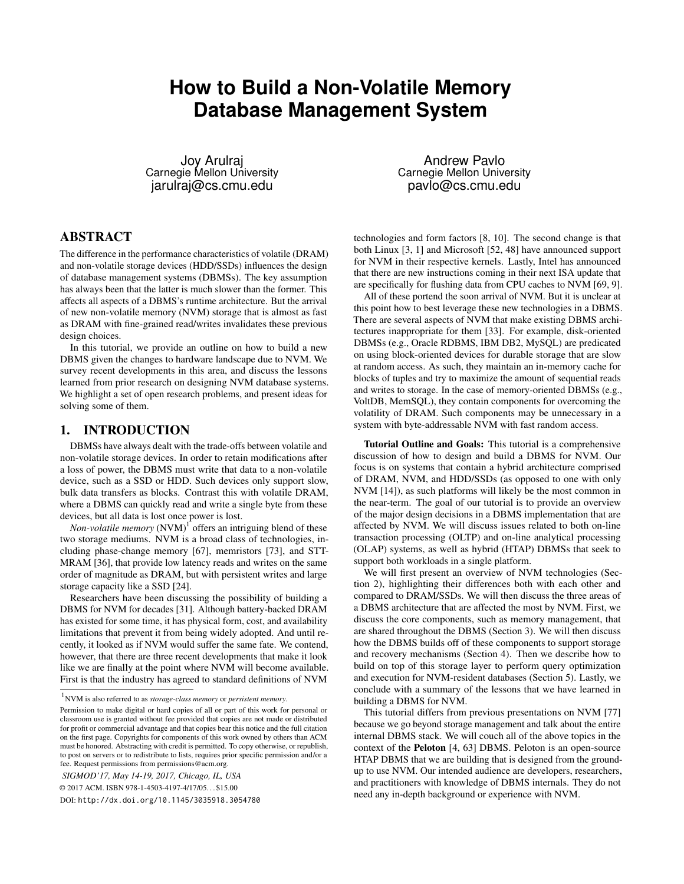# **How to Build a Non-Volatile Memory Database Management System**

Joy Arulraj (1995)<br>Carnegie Mellon University (1996) Carnegie Mellon Unive [jarulraj@cs.cmu.edu](mailto:jarulraj@cs.cmu.edu) [pavlo@cs.cmu.edu](mailto:pavlo@cs.cmu.edu)

**Carnegie Mellon University** 

# ABSTRACT

The difference in the performance characteristics of volatile (DRAM) and non-volatile storage devices (HDD/SSDs) influences the design of database management systems (DBMSs). The key assumption has always been that the latter is much slower than the former. This affects all aspects of a DBMS's runtime architecture. But the arrival of new non-volatile memory (NVM) storage that is almost as fast as DRAM with fine-grained read/writes invalidates these previous design choices.

In this tutorial, we provide an outline on how to build a new DBMS given the changes to hardware landscape due to NVM. We survey recent developments in this area, and discuss the lessons learned from prior research on designing NVM database systems. We highlight a set of open research problems, and present ideas for solving some of them.

### 1. INTRODUCTION

DBMSs have always dealt with the trade-offs between volatile and non-volatile storage devices. In order to retain modifications after a loss of power, the DBMS must write that data to a non-volatile device, such as a SSD or HDD. Such devices only support slow, bulk data transfers as blocks. Contrast this with volatile DRAM, where a DBMS can quickly read and write a single byte from these devices, but all data is lost once power is lost.

*Non-volatile memory* (NVM)<sup>[1](#page-0-0)</sup> offers an intriguing blend of these two storage mediums. NVM is a broad class of technologies, including phase-change memory [\[67\]](#page-5-0), memristors [\[73\]](#page-5-1), and STT-MRAM [\[36\]](#page-5-2), that provide low latency reads and writes on the same order of magnitude as DRAM, but with persistent writes and large storage capacity like a SSD [\[24\]](#page-4-0).

Researchers have been discussing the possibility of building a DBMS for NVM for decades [\[31\]](#page-5-3). Although battery-backed DRAM has existed for some time, it has physical form, cost, and availability limitations that prevent it from being widely adopted. And until recently, it looked as if NVM would suffer the same fate. We contend, however, that there are three recent developments that make it look like we are finally at the point where NVM will become available. First is that the industry has agreed to standard definitions of NVM

*SIGMOD'17, May 14-19, 2017, Chicago, IL, USA*

© 2017 ACM. ISBN 978-1-4503-4197-4/17/05. . . \$15.00

DOI: <http://dx.doi.org/10.1145/3035918.3054780>

technologies and form factors [\[8,](#page-4-1) [10\]](#page-4-2). The second change is that both Linux [\[3,](#page-4-3) [1\]](#page-4-4) and Microsoft [\[52,](#page-5-4) [48\]](#page-5-5) have announced support for NVM in their respective kernels. Lastly, Intel has announced that there are new instructions coming in their next ISA update that are specifically for flushing data from CPU caches to NVM [\[69,](#page-5-6) [9\]](#page-4-5).

All of these portend the soon arrival of NVM. But it is unclear at this point how to best leverage these new technologies in a DBMS. There are several aspects of NVM that make existing DBMS architectures inappropriate for them [\[33\]](#page-5-7). For example, disk-oriented DBMSs (e.g., Oracle RDBMS, IBM DB2, MySQL) are predicated on using block-oriented devices for durable storage that are slow at random access. As such, they maintain an in-memory cache for blocks of tuples and try to maximize the amount of sequential reads and writes to storage. In the case of memory-oriented DBMSs (e.g., VoltDB, MemSQL), they contain components for overcoming the volatility of DRAM. Such components may be unnecessary in a system with byte-addressable NVM with fast random access.

Tutorial Outline and Goals: This tutorial is a comprehensive discussion of how to design and build a DBMS for NVM. Our focus is on systems that contain a hybrid architecture comprised of DRAM, NVM, and HDD/SSDs (as opposed to one with only NVM [\[14\]](#page-4-6)), as such platforms will likely be the most common in the near-term. The goal of our tutorial is to provide an overview of the major design decisions in a DBMS implementation that are affected by NVM. We will discuss issues related to both on-line transaction processing (OLTP) and on-line analytical processing (OLAP) systems, as well as hybrid (HTAP) DBMSs that seek to support both workloads in a single platform.

We will first present an overview of NVM technologies [\(Sec](#page-1-0)[tion 2\)](#page-1-0), highlighting their differences both with each other and compared to DRAM/SSDs. We will then discuss the three areas of a DBMS architecture that are affected the most by NVM. First, we discuss the core components, such as memory management, that are shared throughout the DBMS [\(Section 3\)](#page-1-1). We will then discuss how the DBMS builds off of these components to support storage and recovery mechanisms [\(Section 4\)](#page-2-0). Then we describe how to build on top of this storage layer to perform query optimization and execution for NVM-resident databases [\(Section 5\)](#page-3-0). Lastly, we conclude with a summary of the lessons that we have learned in building a DBMS for NVM.

This tutorial differs from previous presentations on NVM [\[77\]](#page-5-8) because we go beyond storage management and talk about the entire internal DBMS stack. We will couch all of the above topics in the context of the Peloton [\[4,](#page-4-7) [63\]](#page-5-9) DBMS. Peloton is an open-source HTAP DBMS that we are building that is designed from the groundup to use NVM. Our intended audience are developers, researchers, and practitioners with knowledge of DBMS internals. They do not need any in-depth background or experience with NVM.

<span id="page-0-0"></span><sup>1</sup> NVM is also referred to as *storage-class memory* or *persistent memory*.

Permission to make digital or hard copies of all or part of this work for personal or classroom use is granted without fee provided that copies are not made or distributed for profit or commercial advantage and that copies bear this notice and the full citation on the first page. Copyrights for components of this work owned by others than ACM must be honored. Abstracting with credit is permitted. To copy otherwise, or republish, to post on servers or to redistribute to lists, requires prior specific permission and/or a fee. Request permissions from permissions@acm.org.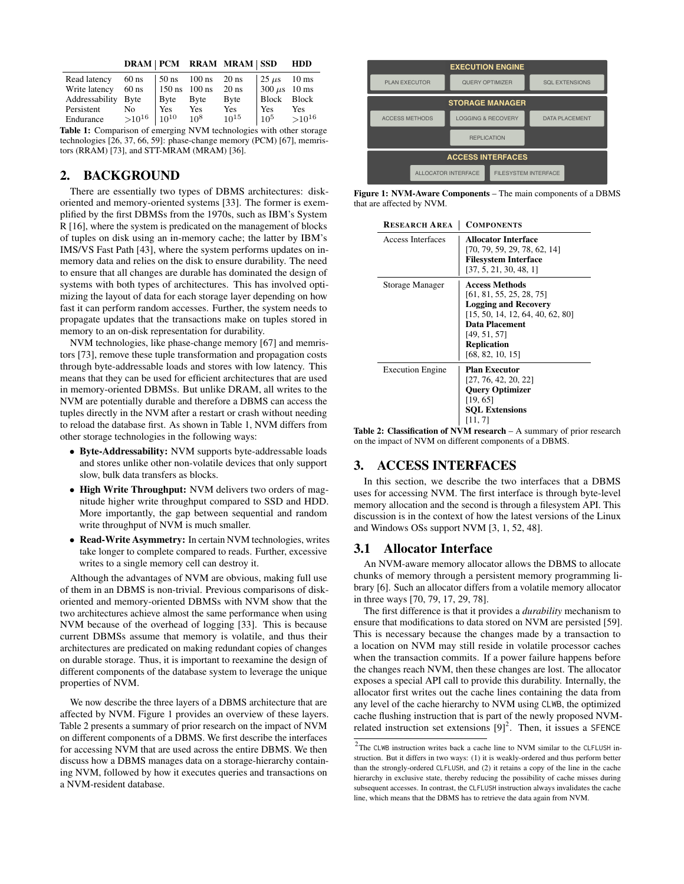DRAM | PCM RRAM MRAM | SSD HDD

<span id="page-1-2"></span>

| Read latency<br>Write latency<br>Addressability Byte<br>Persistent | $60 \text{ ns}$   50 ns 100 ns 20 ns<br>60 ns<br>No | Byte<br>Yes | $150 \text{ ns}$ 100 ms 20 ms<br>Byte<br>Yes | <b>B</b> yte<br>Yes | $\frac{25 \text{ }\mu s}{25 \text{ }\mu s}$ 10 ms<br>$\left 300 \mu s \right  10 \text{ ms}$<br>Block Block<br>l Yes | Yes        |
|--------------------------------------------------------------------|-----------------------------------------------------|-------------|----------------------------------------------|---------------------|----------------------------------------------------------------------------------------------------------------------|------------|
| Endurance                                                          | $>10^{16}$   $10^{10}$                              |             | $10^8$                                       | $10^{15}$           | 10 <sup>5</sup>                                                                                                      | $>10^{16}$ |

Table 1: Comparison of emerging NVM technologies with other storage technologies [\[26,](#page-4-8) [37,](#page-5-10) [66,](#page-5-11) [59\]](#page-5-12): phase-change memory (PCM) [\[67\]](#page-5-0), memristors (RRAM) [\[73\]](#page-5-1), and STT-MRAM (MRAM) [\[36\]](#page-5-2).

## <span id="page-1-0"></span>2. BACKGROUND

There are essentially two types of DBMS architectures: diskoriented and memory-oriented systems [\[33\]](#page-5-7). The former is exemplified by the first DBMSs from the 1970s, such as IBM's System R [\[16\]](#page-4-9), where the system is predicated on the management of blocks of tuples on disk using an in-memory cache; the latter by IBM's IMS/VS Fast Path [\[43\]](#page-5-13), where the system performs updates on inmemory data and relies on the disk to ensure durability. The need to ensure that all changes are durable has dominated the design of systems with both types of architectures. This has involved optimizing the layout of data for each storage layer depending on how fast it can perform random accesses. Further, the system needs to propagate updates that the transactions make on tuples stored in memory to an on-disk representation for durability.

NVM technologies, like phase-change memory [\[67\]](#page-5-0) and memristors [\[73\]](#page-5-1), remove these tuple transformation and propagation costs through byte-addressable loads and stores with low latency. This means that they can be used for efficient architectures that are used in memory-oriented DBMSs. But unlike DRAM, all writes to the NVM are potentially durable and therefore a DBMS can access the tuples directly in the NVM after a restart or crash without needing to reload the database first. As shown in [Table 1,](#page-1-2) NVM differs from other storage technologies in the following ways:

- Byte-Addressability: NVM supports byte-addressable loads and stores unlike other non-volatile devices that only support slow, bulk data transfers as blocks.
- High Write Throughput: NVM delivers two orders of magnitude higher write throughput compared to SSD and HDD. More importantly, the gap between sequential and random write throughput of NVM is much smaller.
- Read-Write Asymmetry: In certain NVM technologies, writes take longer to complete compared to reads. Further, excessive writes to a single memory cell can destroy it.

Although the advantages of NVM are obvious, making full use of them in an DBMS is non-trivial. Previous comparisons of diskoriented and memory-oriented DBMSs with NVM show that the two architectures achieve almost the same performance when using NVM because of the overhead of logging [\[33\]](#page-5-7). This is because current DBMSs assume that memory is volatile, and thus their architectures are predicated on making redundant copies of changes on durable storage. Thus, it is important to reexamine the design of different components of the database system to leverage the unique properties of NVM.

We now describe the three layers of a DBMS architecture that are affected by NVM. [Figure 1](#page-1-3) provides an overview of these layers. [Table 2](#page-1-4) presents a summary of prior research on the impact of NVM on different components of a DBMS. We first describe the interfaces for accessing NVM that are used across the entire DBMS. We then discuss how a DBMS manages data on a storage-hierarchy containing NVM, followed by how it executes queries and transactions on a NVM-resident database.

<span id="page-1-3"></span>

Figure 1: NVM-Aware Components – The main components of a DBMS that are affected by NVM.

<span id="page-1-4"></span>

| <b>RESEARCH AREA</b>    | <b>COMPONENTS</b>                                                                                                                                                                                |
|-------------------------|--------------------------------------------------------------------------------------------------------------------------------------------------------------------------------------------------|
| Access Interfaces       | <b>Allocator Interface</b><br>[70, 79, 59, 29, 78, 62, 14]<br><b>Filesystem Interface</b><br>[37, 5, 21, 30, 48, 1]                                                                              |
| Storage Manager         | <b>Access Methods</b><br>[61, 81, 55, 25, 28, 75]<br><b>Logging and Recovery</b><br>[15, 50, 14, 12, 64, 40, 62, 80]<br>Data Placement<br>[49, 51, 57]<br><b>Replication</b><br>[68, 82, 10, 15] |
| <b>Execution Engine</b> | <b>Plan Executor</b><br>[27, 76, 42, 20, 22]<br><b>Query Optimizer</b><br>[19, 65]<br><b>SQL Extensions</b>                                                                                      |

Table 2: Classification of NVM research – A summary of prior research on the impact of NVM on different components of a DBMS.

### <span id="page-1-1"></span>3. ACCESS INTERFACES

In this section, we describe the two interfaces that a DBMS uses for accessing NVM. The first interface is through byte-level memory allocation and the second is through a filesystem API. This discussion is in the context of how the latest versions of the Linux and Windows OSs support NVM [\[3,](#page-4-3) [1,](#page-4-4) [52,](#page-5-4) [48\]](#page-5-5).

#### 3.1 Allocator Interface

An NVM-aware memory allocator allows the DBMS to allocate chunks of memory through a persistent memory programming library [\[6\]](#page-4-20). Such an allocator differs from a volatile memory allocator in three ways [\[70,](#page-5-14) [79,](#page-5-15) [17,](#page-4-21) [29,](#page-5-16) [78\]](#page-5-17).

The first difference is that it provides a *durability* mechanism to ensure that modifications to data stored on NVM are persisted [\[59\]](#page-5-12). This is necessary because the changes made by a transaction to a location on NVM may still reside in volatile processor caches when the transaction commits. If a power failure happens before the changes reach NVM, then these changes are lost. The allocator exposes a special API call to provide this durability. Internally, the allocator first writes out the cache lines containing the data from any level of the cache hierarchy to NVM using CLWB, the optimized cache flushing instruction that is part of the newly proposed NVMrelated instruction set extensions  $[9]^2$  $[9]^2$  $[9]^2$ . Then, it issues a SFENCE

<span id="page-1-5"></span> $2$ The CLWB instruction writes back a cache line to NVM similar to the CLFLUSH instruction. But it differs in two ways: (1) it is weakly-ordered and thus perform better than the strongly-ordered CLFLUSH, and (2) it retains a copy of the line in the cache hierarchy in exclusive state, thereby reducing the possibility of cache misses during subsequent accesses. In contrast, the CLFLUSH instruction always invalidates the cache line, which means that the DBMS has to retrieve the data again from NVM.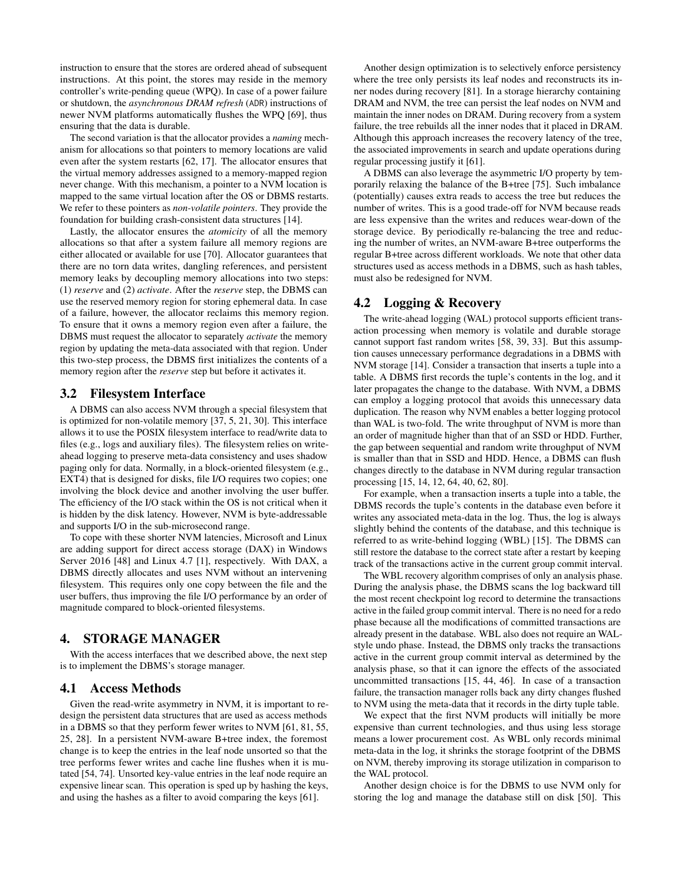instruction to ensure that the stores are ordered ahead of subsequent instructions. At this point, the stores may reside in the memory controller's write-pending queue (WPQ). In case of a power failure or shutdown, the *asynchronous DRAM refresh* (ADR) instructions of newer NVM platforms automatically flushes the WPQ [\[69\]](#page-5-6), thus ensuring that the data is durable.

The second variation is that the allocator provides a *naming* mechanism for allocations so that pointers to memory locations are valid even after the system restarts [\[62,](#page-5-18) [17\]](#page-4-21). The allocator ensures that the virtual memory addresses assigned to a memory-mapped region never change. With this mechanism, a pointer to a NVM location is mapped to the same virtual location after the OS or DBMS restarts. We refer to these pointers as *non-volatile pointers*. They provide the foundation for building crash-consistent data structures [\[14\]](#page-4-6).

Lastly, the allocator ensures the *atomicity* of all the memory allocations so that after a system failure all memory regions are either allocated or available for use [\[70\]](#page-5-14). Allocator guarantees that there are no torn data writes, dangling references, and persistent memory leaks by decoupling memory allocations into two steps: (1) *reserve* and (2) *activate*. After the *reserve* step, the DBMS can use the reserved memory region for storing ephemeral data. In case of a failure, however, the allocator reclaims this memory region. To ensure that it owns a memory region even after a failure, the DBMS must request the allocator to separately *activate* the memory region by updating the meta-data associated with that region. Under this two-step process, the DBMS first initializes the contents of a memory region after the *reserve* step but before it activates it.

#### 3.2 Filesystem Interface

A DBMS can also access NVM through a special filesystem that is optimized for non-volatile memory [\[37,](#page-5-10) [5,](#page-4-10) [21,](#page-4-11) [30\]](#page-5-19). This interface allows it to use the POSIX filesystem interface to read/write data to files (e.g., logs and auxiliary files). The filesystem relies on writeahead logging to preserve meta-data consistency and uses shadow paging only for data. Normally, in a block-oriented filesystem (e.g., EXT4) that is designed for disks, file I/O requires two copies; one involving the block device and another involving the user buffer. The efficiency of the I/O stack within the OS is not critical when it is hidden by the disk latency. However, NVM is byte-addressable and supports I/O in the sub-microsecond range.

To cope with these shorter NVM latencies, Microsoft and Linux are adding support for direct access storage (DAX) in Windows Server 2016 [\[48\]](#page-5-5) and Linux 4.7 [\[1\]](#page-4-4), respectively. With DAX, a DBMS directly allocates and uses NVM without an intervening filesystem. This requires only one copy between the file and the user buffers, thus improving the file I/O performance by an order of magnitude compared to block-oriented filesystems.

# <span id="page-2-0"></span>4. STORAGE MANAGER

With the access interfaces that we described above, the next step is to implement the DBMS's storage manager.

### 4.1 Access Methods

Given the read-write asymmetry in NVM, it is important to redesign the persistent data structures that are used as access methods in a DBMS so that they perform fewer writes to NVM [\[61,](#page-5-20) [81,](#page-5-21) [55,](#page-5-22) [25,](#page-4-12) [28\]](#page-5-23). In a persistent NVM-aware B+tree index, the foremost change is to keep the entries in the leaf node unsorted so that the tree performs fewer writes and cache line flushes when it is mutated [\[54,](#page-5-38) [74\]](#page-5-39). Unsorted key-value entries in the leaf node require an expensive linear scan. This operation is sped up by hashing the keys, and using the hashes as a filter to avoid comparing the keys [\[61\]](#page-5-20).

Another design optimization is to selectively enforce persistency where the tree only persists its leaf nodes and reconstructs its inner nodes during recovery [\[81\]](#page-5-21). In a storage hierarchy containing DRAM and NVM, the tree can persist the leaf nodes on NVM and maintain the inner nodes on DRAM. During recovery from a system failure, the tree rebuilds all the inner nodes that it placed in DRAM. Although this approach increases the recovery latency of the tree, the associated improvements in search and update operations during regular processing justify it [\[61\]](#page-5-20).

A DBMS can also leverage the asymmetric I/O property by temporarily relaxing the balance of the B+tree [\[75\]](#page-5-24). Such imbalance (potentially) causes extra reads to access the tree but reduces the number of writes. This is a good trade-off for NVM because reads are less expensive than the writes and reduces wear-down of the storage device. By periodically re-balancing the tree and reducing the number of writes, an NVM-aware B+tree outperforms the regular B+tree across different workloads. We note that other data structures used as access methods in a DBMS, such as hash tables, must also be redesigned for NVM.

## <span id="page-2-1"></span>4.2 Logging & Recovery

The write-ahead logging (WAL) protocol supports efficient transaction processing when memory is volatile and durable storage cannot support fast random writes [\[58,](#page-5-40) [39,](#page-5-41) [33\]](#page-5-7). But this assumption causes unnecessary performance degradations in a DBMS with NVM storage [\[14\]](#page-4-6). Consider a transaction that inserts a tuple into a table. A DBMS first records the tuple's contents in the log, and it later propagates the change to the database. With NVM, a DBMS can employ a logging protocol that avoids this unnecessary data duplication. The reason why NVM enables a better logging protocol than WAL is two-fold. The write throughput of NVM is more than an order of magnitude higher than that of an SSD or HDD. Further, the gap between sequential and random write throughput of NVM is smaller than that in SSD and HDD. Hence, a DBMS can flush changes directly to the database in NVM during regular transaction processing [\[15,](#page-4-13) [14,](#page-4-6) [12,](#page-4-14) [64,](#page-5-26) [40,](#page-5-27) [62,](#page-5-18) [80\]](#page-5-28).

For example, when a transaction inserts a tuple into a table, the DBMS records the tuple's contents in the database even before it writes any associated meta-data in the log. Thus, the log is always slightly behind the contents of the database, and this technique is referred to as write-behind logging (WBL) [\[15\]](#page-4-13). The DBMS can still restore the database to the correct state after a restart by keeping track of the transactions active in the current group commit interval.

The WBL recovery algorithm comprises of only an analysis phase. During the analysis phase, the DBMS scans the log backward till the most recent checkpoint log record to determine the transactions active in the failed group commit interval. There is no need for a redo phase because all the modifications of committed transactions are already present in the database. WBL also does not require an WALstyle undo phase. Instead, the DBMS only tracks the transactions active in the current group commit interval as determined by the analysis phase, so that it can ignore the effects of the associated uncommitted transactions [\[15,](#page-4-13) [44,](#page-5-42) [46\]](#page-5-43). In case of a transaction failure, the transaction manager rolls back any dirty changes flushed to NVM using the meta-data that it records in the dirty tuple table.

We expect that the first NVM products will initially be more expensive than current technologies, and thus using less storage means a lower procurement cost. As WBL only records minimal meta-data in the log, it shrinks the storage footprint of the DBMS on NVM, thereby improving its storage utilization in comparison to the WAL protocol.

Another design choice is for the DBMS to use NVM only for storing the log and manage the database still on disk [\[50\]](#page-5-25). This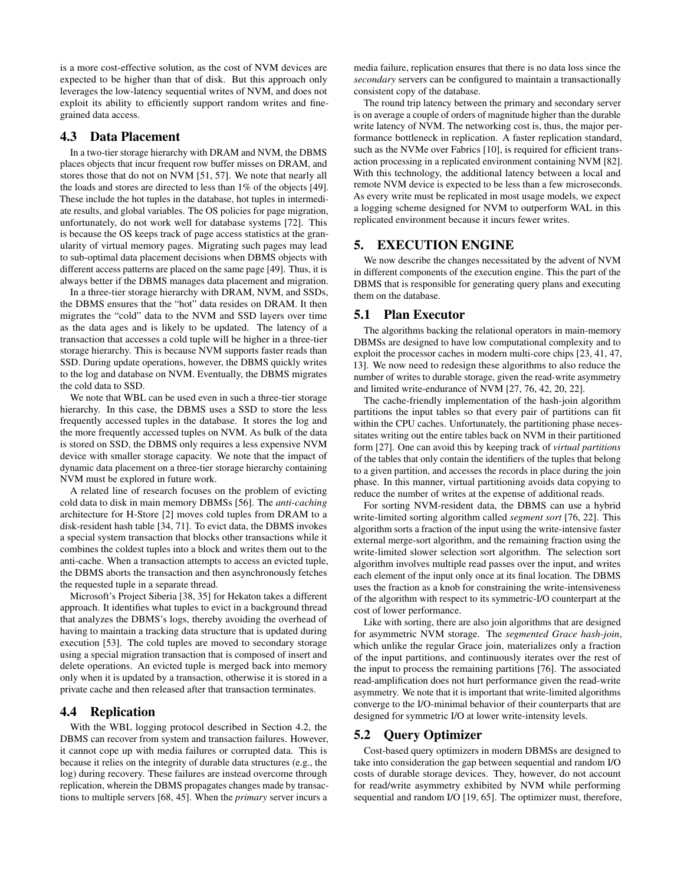is a more cost-effective solution, as the cost of NVM devices are expected to be higher than that of disk. But this approach only leverages the low-latency sequential writes of NVM, and does not exploit its ability to efficiently support random writes and finegrained data access.

#### 4.3 Data Placement

In a two-tier storage hierarchy with DRAM and NVM, the DBMS places objects that incur frequent row buffer misses on DRAM, and stores those that do not on NVM [\[51,](#page-5-30) [57\]](#page-5-31). We note that nearly all the loads and stores are directed to less than 1% of the objects [\[49\]](#page-5-29). These include the hot tuples in the database, hot tuples in intermediate results, and global variables. The OS policies for page migration, unfortunately, do not work well for database systems [\[72\]](#page-5-44). This is because the OS keeps track of page access statistics at the granularity of virtual memory pages. Migrating such pages may lead to sub-optimal data placement decisions when DBMS objects with different access patterns are placed on the same page [\[49\]](#page-5-29). Thus, it is always better if the DBMS manages data placement and migration.

In a three-tier storage hierarchy with DRAM, NVM, and SSDs, the DBMS ensures that the "hot" data resides on DRAM. It then migrates the "cold" data to the NVM and SSD layers over time as the data ages and is likely to be updated. The latency of a transaction that accesses a cold tuple will be higher in a three-tier storage hierarchy. This is because NVM supports faster reads than SSD. During update operations, however, the DBMS quickly writes to the log and database on NVM. Eventually, the DBMS migrates the cold data to SSD.

We note that WBL can be used even in such a three-tier storage hierarchy. In this case, the DBMS uses a SSD to store the less frequently accessed tuples in the database. It stores the log and the more frequently accessed tuples on NVM. As bulk of the data is stored on SSD, the DBMS only requires a less expensive NVM device with smaller storage capacity. We note that the impact of dynamic data placement on a three-tier storage hierarchy containing NVM must be explored in future work.

A related line of research focuses on the problem of evicting cold data to disk in main memory DBMSs [\[56\]](#page-5-45). The *anti-caching* architecture for H-Store [\[2\]](#page-4-22) moves cold tuples from DRAM to a disk-resident hash table [\[34,](#page-5-46) [71\]](#page-5-47). To evict data, the DBMS invokes a special system transaction that blocks other transactions while it combines the coldest tuples into a block and writes them out to the anti-cache. When a transaction attempts to access an evicted tuple, the DBMS aborts the transaction and then asynchronously fetches the requested tuple in a separate thread.

Microsoft's Project Siberia [\[38,](#page-5-48) [35\]](#page-5-49) for Hekaton takes a different approach. It identifies what tuples to evict in a background thread that analyzes the DBMS's logs, thereby avoiding the overhead of having to maintain a tracking data structure that is updated during execution [\[53\]](#page-5-50). The cold tuples are moved to secondary storage using a special migration transaction that is composed of insert and delete operations. An evicted tuple is merged back into memory only when it is updated by a transaction, otherwise it is stored in a private cache and then released after that transaction terminates.

## 4.4 Replication

With the WBL logging protocol described in [Section 4.2,](#page-2-1) the DBMS can recover from system and transaction failures. However, it cannot cope up with media failures or corrupted data. This is because it relies on the integrity of durable data structures (e.g., the log) during recovery. These failures are instead overcome through replication, wherein the DBMS propagates changes made by transactions to multiple servers [\[68,](#page-5-32) [45\]](#page-5-51). When the *primary* server incurs a media failure, replication ensures that there is no data loss since the *secondary* servers can be configured to maintain a transactionally consistent copy of the database.

The round trip latency between the primary and secondary server is on average a couple of orders of magnitude higher than the durable write latency of NVM. The networking cost is, thus, the major performance bottleneck in replication. A faster replication standard, such as the NVMe over Fabrics [\[10\]](#page-4-2), is required for efficient transaction processing in a replicated environment containing NVM [\[82\]](#page-5-33). With this technology, the additional latency between a local and remote NVM device is expected to be less than a few microseconds. As every write must be replicated in most usage models, we expect a logging scheme designed for NVM to outperform WAL in this replicated environment because it incurs fewer writes.

# <span id="page-3-0"></span>5. EXECUTION ENGINE

We now describe the changes necessitated by the advent of NVM in different components of the execution engine. This the part of the DBMS that is responsible for generating query plans and executing them on the database.

#### 5.1 Plan Executor

The algorithms backing the relational operators in main-memory DBMSs are designed to have low computational complexity and to exploit the processor caches in modern multi-core chips [\[23,](#page-4-23) [41,](#page-5-52) [47,](#page-5-53) [13\]](#page-4-24). We now need to redesign these algorithms to also reduce the number of writes to durable storage, given the read-write asymmetry and limited write-endurance of NVM [\[27,](#page-5-34) [76,](#page-5-35) [42,](#page-5-36) [20,](#page-4-15) [22\]](#page-4-16).

The cache-friendly implementation of the hash-join algorithm partitions the input tables so that every pair of partitions can fit within the CPU caches. Unfortunately, the partitioning phase necessitates writing out the entire tables back on NVM in their partitioned form [\[27\]](#page-5-34). One can avoid this by keeping track of *virtual partitions* of the tables that only contain the identifiers of the tuples that belong to a given partition, and accesses the records in place during the join phase. In this manner, virtual partitioning avoids data copying to reduce the number of writes at the expense of additional reads.

For sorting NVM-resident data, the DBMS can use a hybrid write-limited sorting algorithm called *segment sort* [\[76,](#page-5-35) [22\]](#page-4-16). This algorithm sorts a fraction of the input using the write-intensive faster external merge-sort algorithm, and the remaining fraction using the write-limited slower selection sort algorithm. The selection sort algorithm involves multiple read passes over the input, and writes each element of the input only once at its final location. The DBMS uses the fraction as a knob for constraining the write-intensiveness of the algorithm with respect to its symmetric-I/O counterpart at the cost of lower performance.

Like with sorting, there are also join algorithms that are designed for asymmetric NVM storage. The *segmented Grace hash-join*, which unlike the regular Grace join, materializes only a fraction of the input partitions, and continuously iterates over the rest of the input to process the remaining partitions [\[76\]](#page-5-35). The associated read-amplification does not hurt performance given the read-write asymmetry. We note that it is important that write-limited algorithms converge to the I/O-minimal behavior of their counterparts that are designed for symmetric I/O at lower write-intensity levels.

## 5.2 Query Optimizer

Cost-based query optimizers in modern DBMSs are designed to take into consideration the gap between sequential and random I/O costs of durable storage devices. They, however, do not account for read/write asymmetry exhibited by NVM while performing sequential and random I/O [\[19,](#page-4-17) [65\]](#page-5-37). The optimizer must, therefore,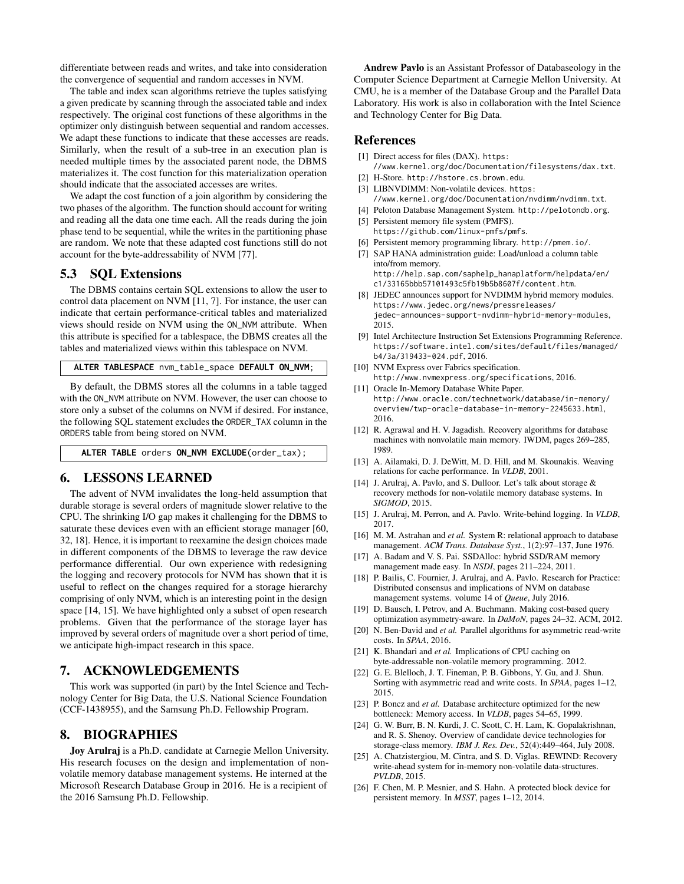differentiate between reads and writes, and take into consideration the convergence of sequential and random accesses in NVM.

The table and index scan algorithms retrieve the tuples satisfying a given predicate by scanning through the associated table and index respectively. The original cost functions of these algorithms in the optimizer only distinguish between sequential and random accesses. We adapt these functions to indicate that these accesses are reads. Similarly, when the result of a sub-tree in an execution plan is needed multiple times by the associated parent node, the DBMS materializes it. The cost function for this materialization operation should indicate that the associated accesses are writes.

We adapt the cost function of a join algorithm by considering the two phases of the algorithm. The function should account for writing and reading all the data one time each. All the reads during the join phase tend to be sequential, while the writes in the partitioning phase are random. We note that these adapted cost functions still do not account for the byte-addressability of NVM [\[77\]](#page-5-8).

## 5.3 SQL Extensions

The DBMS contains certain SQL extensions to allow the user to control data placement on NVM [\[11,](#page-4-18) [7\]](#page-4-19). For instance, the user can indicate that certain performance-critical tables and materialized views should reside on NVM using the ON\_NVM attribute. When this attribute is specified for a tablespace, the DBMS creates all the tables and materialized views within this tablespace on NVM.

ALTER TABLESPACE nvm\_table\_space DEFAULT ON\_NVM;

By default, the DBMS stores all the columns in a table tagged with the ON\_NVM attribute on NVM. However, the user can choose to store only a subset of the columns on NVM if desired. For instance, the following SQL statement excludes the ORDER\_TAX column in the ORDERS table from being stored on NVM.

ALTER TABLE orders ON\_NVM EXCLUDE(order\_tax);

# 6. LESSONS LEARNED

The advent of NVM invalidates the long-held assumption that durable storage is several orders of magnitude slower relative to the CPU. The shrinking I/O gap makes it challenging for the DBMS to saturate these devices even with an efficient storage manager [\[60,](#page-5-54) [32,](#page-5-55) [18\]](#page-4-25). Hence, it is important to reexamine the design choices made in different components of the DBMS to leverage the raw device performance differential. Our own experience with redesigning the logging and recovery protocols for NVM has shown that it is useful to reflect on the changes required for a storage hierarchy comprising of only NVM, which is an interesting point in the design space [\[14,](#page-4-6) [15\]](#page-4-13). We have highlighted only a subset of open research problems. Given that the performance of the storage layer has improved by several orders of magnitude over a short period of time, we anticipate high-impact research in this space.

# 7. ACKNOWLEDGEMENTS

This work was supported (in part) by the Intel Science and Technology Center for Big Data, the U.S. National Science Foundation [\(CCF-1438955\)](http://www.nsf.gov/awardsearch/showAward?AWD_ID=1438955), and the Samsung Ph.D. Fellowship Program.

## 8. BIOGRAPHIES

[Joy Arulraj](http://www.cs.cmu.edu/~jarulraj/) is a Ph.D. candidate at Carnegie Mellon University. His research focuses on the design and implementation of nonvolatile memory database management systems. He interned at the Microsoft Research Database Group in 2016. He is a recipient of the 2016 Samsung Ph.D. Fellowship.

[Andrew Pavlo](http://www.cs.cmu.edu/~pavlo/) is an Assistant Professor of Databaseology in the Computer Science Department at Carnegie Mellon University. At CMU, he is a member of the Database Group and the Parallel Data Laboratory. His work is also in collaboration with the Intel Science and Technology Center for Big Data.

#### References

- <span id="page-4-4"></span>[1] Direct access for files (DAX). [https:](https://www.kernel.org/doc/Documentation/filesystems/dax.txt) [//www.kernel.org/doc/Documentation/filesystems/dax.txt](https://www.kernel.org/doc/Documentation/filesystems/dax.txt).
- <span id="page-4-22"></span>[2] H-Store. <http://hstore.cs.brown.edu>.
- <span id="page-4-3"></span>[3] LIBNVDIMM: Non-volatile devices. [https:](https://www.kernel.org/doc/Documentation/nvdimm/nvdimm.txt)
- <span id="page-4-7"></span>[//www.kernel.org/doc/Documentation/nvdimm/nvdimm.txt](https://www.kernel.org/doc/Documentation/nvdimm/nvdimm.txt). [4] Peloton Database Management System. <http://pelotondb.org>.
- <span id="page-4-10"></span>[5] Persistent memory file system (PMFS).
- <https://github.com/linux-pmfs/pmfs>.
- <span id="page-4-20"></span>[6] Persistent memory programming library. <http://pmem.io/>.
- <span id="page-4-19"></span>[7] SAP HANA administration guide: Load/unload a column table into/from memory. [http://help.sap.com/saphelp\\_hanaplatform/helpdata/en/](http://help.sap.com/saphelp_hanaplatform/helpdata/en/c1/33165bbb57101493c5fb19b5b8607f/content.htm) [c1/33165bbb57101493c5fb19b5b8607f/content.htm](http://help.sap.com/saphelp_hanaplatform/helpdata/en/c1/33165bbb57101493c5fb19b5b8607f/content.htm).
- <span id="page-4-1"></span>[8] JEDEC announces support for NVDIMM hybrid memory modules. [https://www.jedec.org/news/pressreleases/]( https://www.jedec.org/news/pressreleases/jedec-announces-support-nvdimm-hybrid-memory-modules) [jedec-announces-support-nvdimm-hybrid-memory-modules]( https://www.jedec.org/news/pressreleases/jedec-announces-support-nvdimm-hybrid-memory-modules), 2015.
- <span id="page-4-5"></span>[9] Intel Architecture Instruction Set Extensions Programming Reference. [https://software.intel.com/sites/default/files/managed/](https://software.intel.com/sites/default/files/managed/b4/3a/319433-024.pdf) [b4/3a/319433-024.pdf](https://software.intel.com/sites/default/files/managed/b4/3a/319433-024.pdf), 2016.
- <span id="page-4-2"></span>[10] NVM Express over Fabrics specification. <http://www.nvmexpress.org/specifications>, 2016.
- <span id="page-4-18"></span>[11] Oracle In-Memory Database White Paper. [http://www.oracle.com/technetwork/database/in-memory/](http://www.oracle.com/technetwork/database/in-memory/overview/twp-oracle-database-in-memory-2245633.html) [overview/twp-oracle-database-in-memory-2245633.html](http://www.oracle.com/technetwork/database/in-memory/overview/twp-oracle-database-in-memory-2245633.html), 2016.
- <span id="page-4-14"></span>[12] R. Agrawal and H. V. Jagadish. Recovery algorithms for database machines with nonvolatile main memory. IWDM, pages 269–285, 1989.
- <span id="page-4-24"></span>[13] A. Ailamaki, D. J. DeWitt, M. D. Hill, and M. Skounakis. Weaving relations for cache performance. In *VLDB*, 2001.
- <span id="page-4-6"></span>[14] J. Arulraj, A. Pavlo, and S. Dulloor. Let's talk about storage & recovery methods for non-volatile memory database systems. In *SIGMOD*, 2015.
- <span id="page-4-13"></span>[15] J. Arulraj, M. Perron, and A. Pavlo. Write-behind logging. In *VLDB*, 2017.
- <span id="page-4-9"></span>[16] M. M. Astrahan and et al. System R: relational approach to database management. *ACM Trans. Database Syst.*, 1(2):97–137, June 1976.
- <span id="page-4-21"></span>[17] A. Badam and V. S. Pai. SSDAlloc: hybrid SSD/RAM memory management made easy. In *NSDI*, pages 211–224, 2011.
- <span id="page-4-25"></span>[18] P. Bailis, C. Fournier, J. Arulraj, and A. Pavlo. Research for Practice: Distributed consensus and implications of NVM on database management systems. volume 14 of *Queue*, July 2016.
- <span id="page-4-17"></span>[19] D. Bausch, I. Petrov, and A. Buchmann. Making cost-based query optimization asymmetry-aware. In *DaMoN*, pages 24–32. ACM, 2012.
- <span id="page-4-15"></span>[20] N. Ben-David and *et al.* Parallel algorithms for asymmetric read-write costs. In *SPAA*, 2016.
- <span id="page-4-11"></span>[21] K. Bhandari and *et al.* Implications of CPU caching on byte-addressable non-volatile memory programming. 2012.
- <span id="page-4-16"></span>[22] G. E. Blelloch, J. T. Fineman, P. B. Gibbons, Y. Gu, and J. Shun. Sorting with asymmetric read and write costs. In *SPAA*, pages 1–12, 2015.
- <span id="page-4-23"></span>[23] P. Boncz and *et al.* Database architecture optimized for the new bottleneck: Memory access. In *VLDB*, pages 54–65, 1999.
- <span id="page-4-0"></span>[24] G. W. Burr, B. N. Kurdi, J. C. Scott, C. H. Lam, K. Gopalakrishnan, and R. S. Shenoy. Overview of candidate device technologies for storage-class memory. *IBM J. Res. Dev.*, 52(4):449–464, July 2008.
- <span id="page-4-12"></span>[25] A. Chatzistergiou, M. Cintra, and S. D. Viglas. REWIND: Recovery write-ahead system for in-memory non-volatile data-structures. *PVLDB*, 2015.
- <span id="page-4-8"></span>[26] F. Chen, M. P. Mesnier, and S. Hahn. A protected block device for persistent memory. In *MSST*, pages 1–12, 2014.